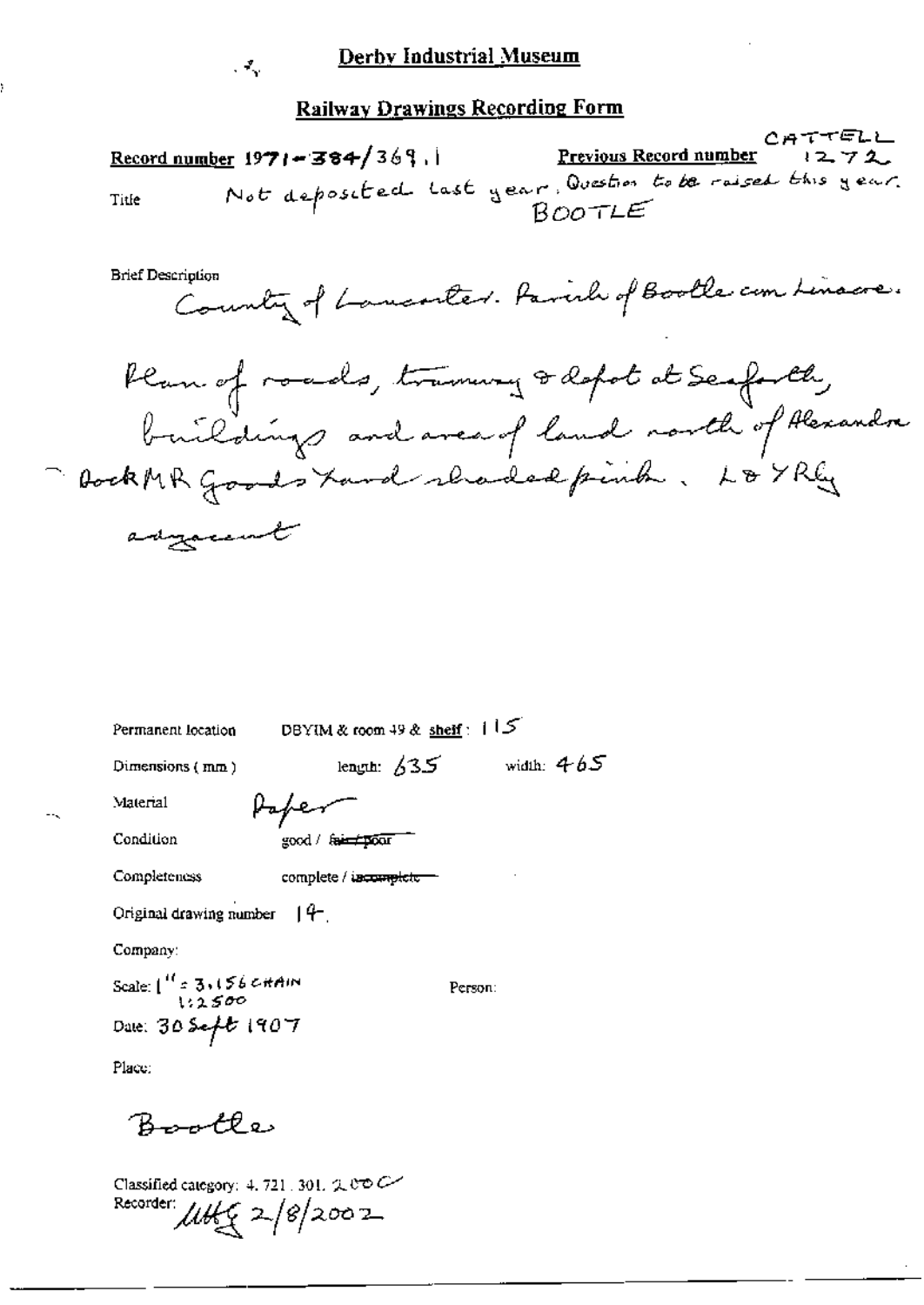|       | Record number $1971 - 384 / 369$ , | Previous Record number 1272                                         | こみ いっこに |
|-------|------------------------------------|---------------------------------------------------------------------|---------|
| Title |                                    | Not deposited last year. Question to be raised this year.<br>BOOTLE |         |

**Brief Description** 

. Т.

Country of Lancoster. Parish of Bootle com Linacre.

Ran of roads, tramway & depot at Seaforth, buildings and area of land north of Alexandre adyaccurat

| Permanent location                         | DBYIM & room 49 & shelf: 115 |              |
|--------------------------------------------|------------------------------|--------------|
| length: $/35$<br>Dimensions (mm)           |                              | width: $465$ |
| Material                                   |                              |              |
| Condition                                  | good / faircroom             |              |
| Completeness                               | complete / incomplete        |              |
| Original drawing number $ 4 -$             |                              |              |
| Company:                                   |                              |              |
| Scale: $\int_{12.500}^{11} 3.156$ c it Ain |                              | Person:      |
| Date: 30 Seft 1907                         |                              |              |
| Place:                                     |                              |              |

Bootle

Classified category: 4, 721, 301, 2,000 Recorder:  $\mu$ th $\leq 2/8/2002$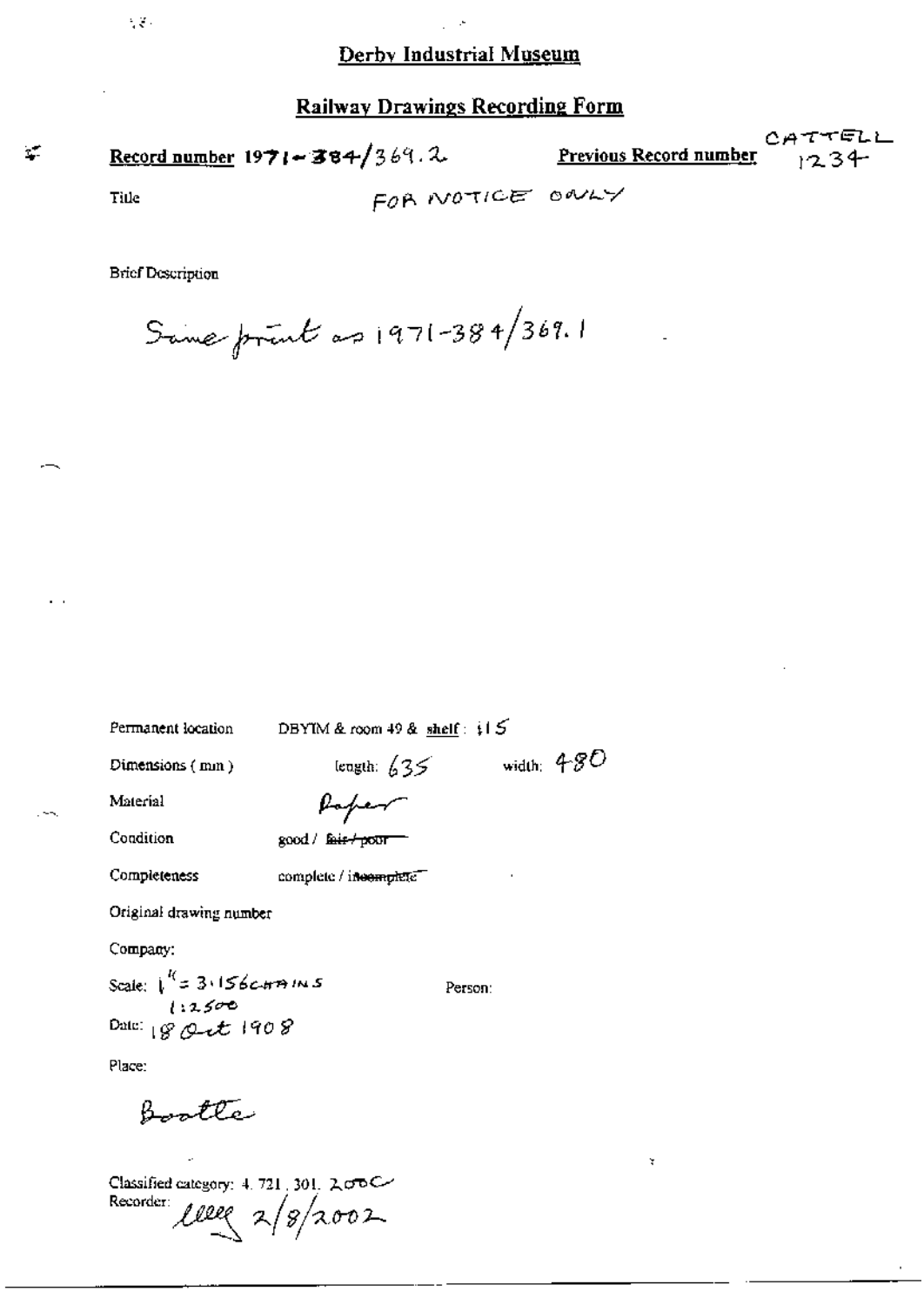**Railway Drawings Recording Form** 

| Record number 1971 - 384/369.2 | <u>Previous Record number</u> $\frac{1}{2}$ 34 |  |
|--------------------------------|------------------------------------------------|--|
|                                |                                                |  |

Title

 $\tau_{\rm e}$ 

 $\mathcal{L}_{\mathcal{A}}$  .

FOR NOTICE ONLY

CATTELL

**Brief Description** 

Same print as  $1971 - 384/369.1$ 

Permanent location

DBYIM & room 49 & shelf:  $115$ 

Dimensions (mm)

length:  $635$  width:  $480$ 

Material

Poper

Condition

Completeness

good / fair+poor

complete / incomplete

Original drawing number

Company:

Scale:  $\sqrt{\frac{l}{2}3.156cm \pi m/s}$ Date:  $80 + t 1908$ 

Person:

¥

Place:

Bootte

Classified category: 4, 721, 301, 2,000 Recorder  $ller \times 18/2002$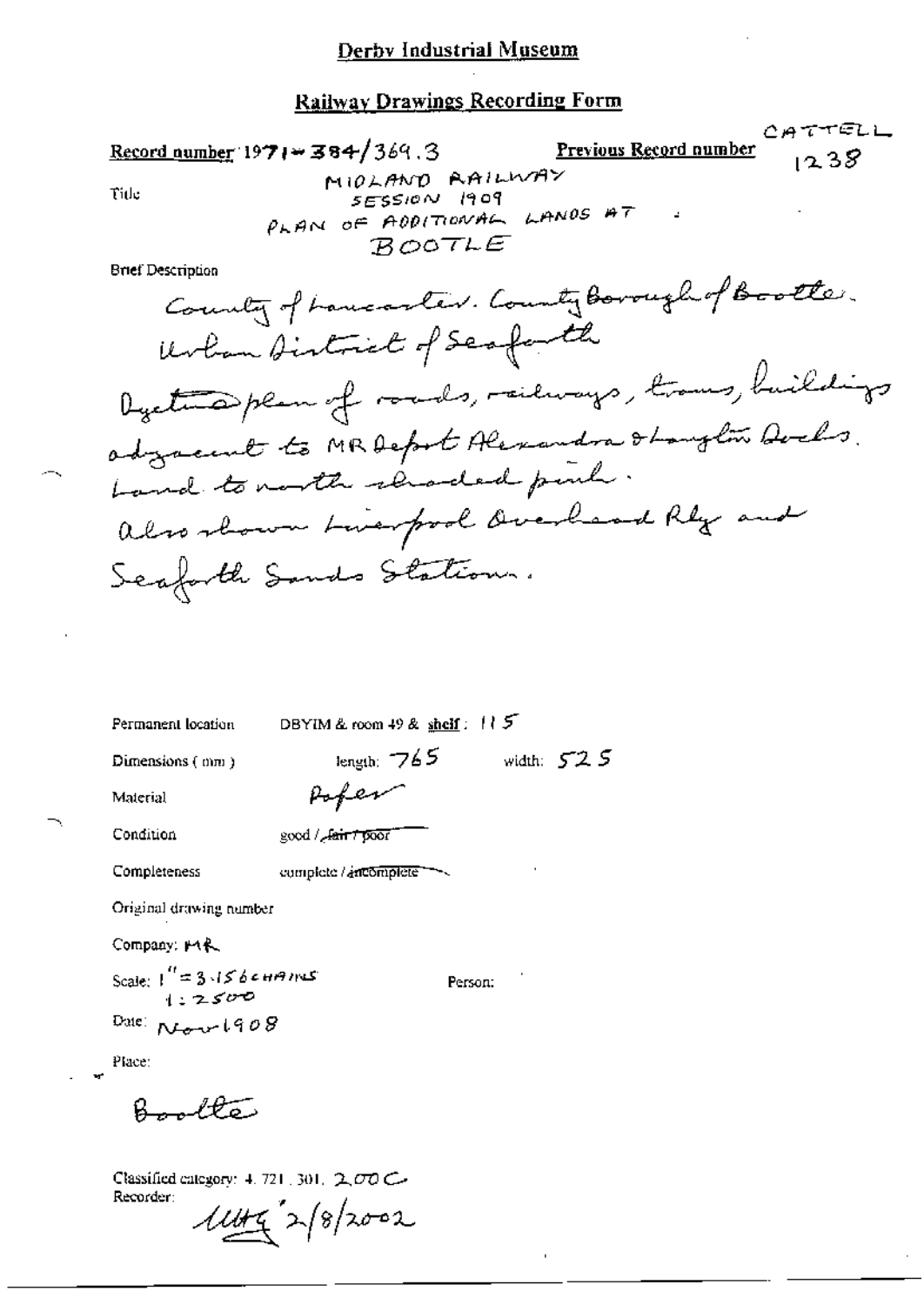CATTELL Previous Record number Record number 1971 = 384/369.3  $1238$ MIDLAND RAILWAY Title SESSION 1909 PLAN OF ADDITIONAL LANDS AT  $BOOTLE$ **Brief Description** County of have aster. County Borough of Bootter. Urban District of Scafarth Dycture plan of roads, railways, trans, buildings adgreement to MRDeport Alexandra Stanglow Dochs. Land to north renaded pinh. also shown tweepod buchand Rly and Scafarth Sands Station.

| Permanent location                  | DBYIM & room $49$ & shelf: $115$ |              |  |
|-------------------------------------|----------------------------------|--------------|--|
| Dimensions (mm)                     | length: $765$                    | width: $525$ |  |
| Material                            | Poper                            |              |  |
| Condition                           | good / Jain 7 poor               |              |  |
| Completeness                        | complete / ancomplete            |              |  |
| Original drawing number             |                                  |              |  |
| Company, MR.                        |                                  |              |  |
| Scale: $\frac{1}{1}$ = 3.15 be HAMS |                                  | Person:      |  |
| Date: $R_{L} = -1908$               |                                  |              |  |

Place:

Bookto

Classified category: 4, 721, 301,  $2\sigma\sigma C$ Recorder:  $11442$  2/8/2002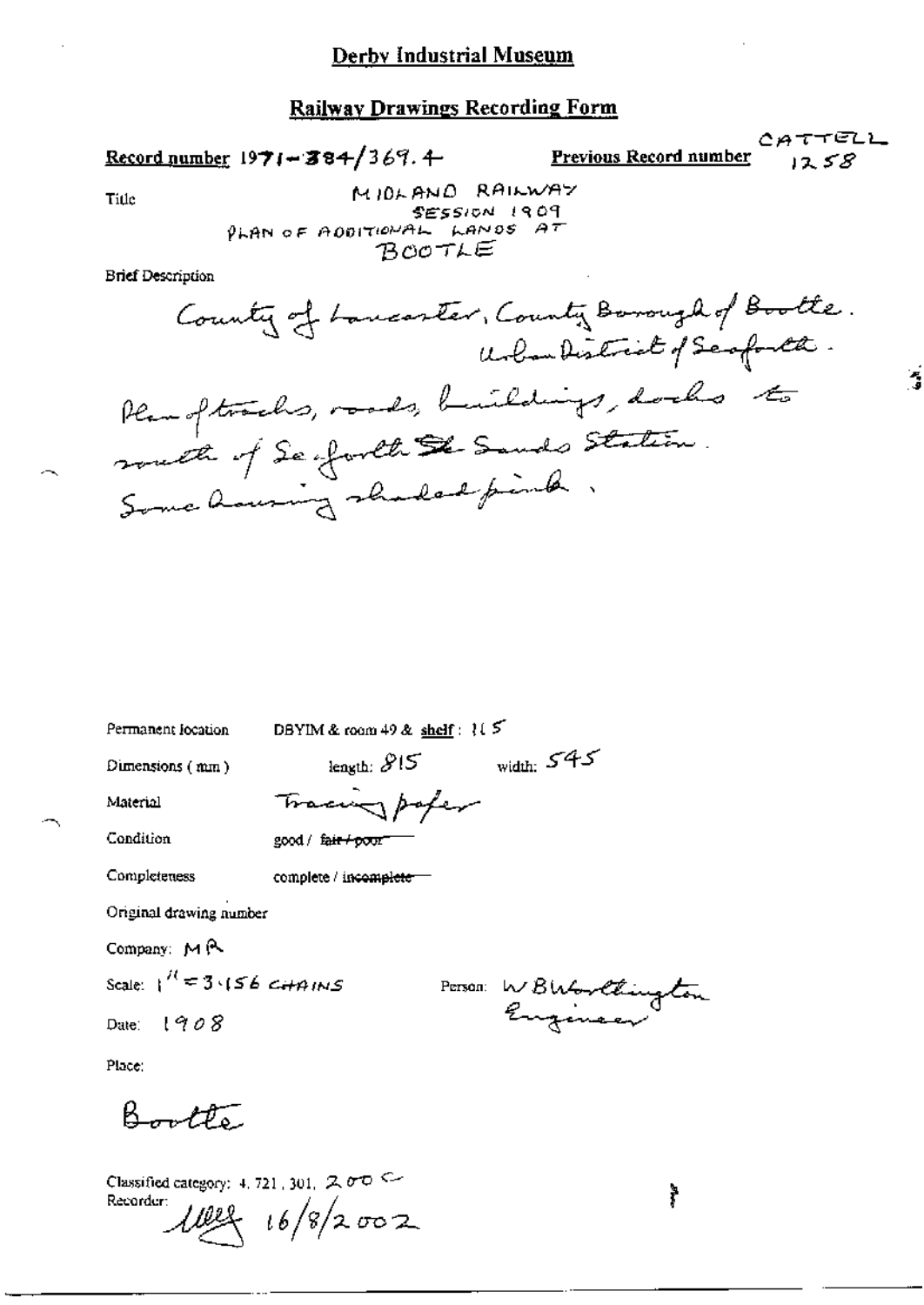Record number  $1971 - 384/369$ . 4

**Previous Record number** 

CATTELL  $1258$ 

٠,

Title

MIDLAND RAILWAY SESSION 1909 PLAN OF ADDITIONAL LANDS AT BOOTLE

**Brief Description** 

| Permanent location |  |
|--------------------|--|
|--------------------|--|

DBYIM & room 49 & shelf:  $15$ 

Tracing paper

Dimensions (mm)

length:  $815$  width:  $545$ 

Material Condition

Completeness

good / fair+poor

complete / incomplete-

Original drawing number

Company: MR

Scale:  $1^{11}$  = 3.156 CHAINS

Date:  $1908$ 

Person WBWorltington

Place:

Bootte

Classified category: 4, 721, 301,  $2 \sigma$ <sup>O</sup> Recorder:

 $482 + 16/8/2002$ 

ř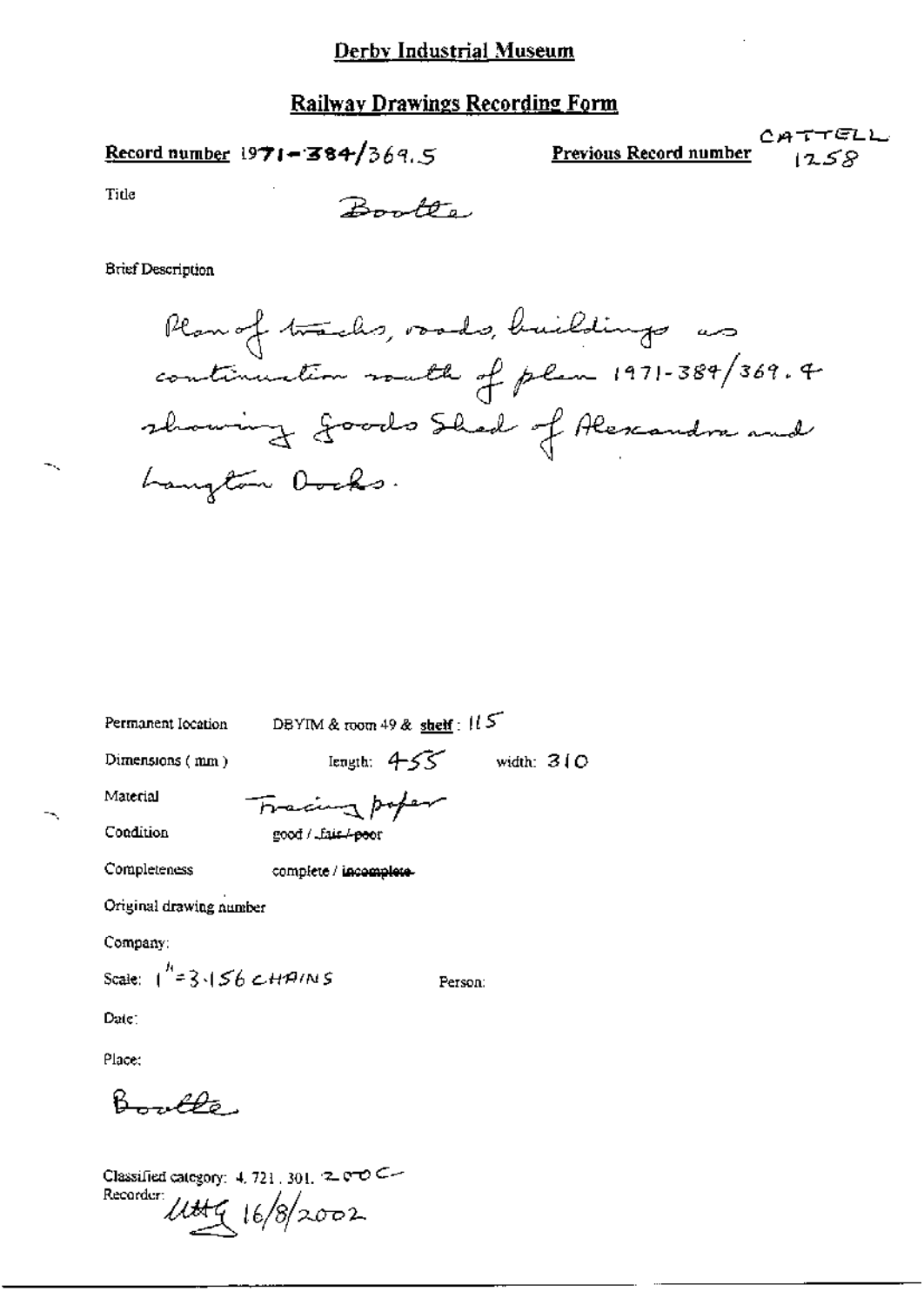Record number 1971-384/369.5

**Previous Record number** 1258

Title

Boundary

**Brief Description** 

Plan of tracks, voods, buildings as showing goods Shad of Alexandre and Langton Docks.

Permanent Iocation

DBYIM & room 49 & shelf:  $115$ 

Dimensions (mm)

length:  $4-55$  width:  $310$ 

Person:

Material

Completeness

Fracing poper

Condition

good / Lais / poor

complete / incomplete-

Original drawing number

Company:

Scale:  $1^{h}$  = 3.156 CHAINS

Date:

Place:

 $B_-, \rho \rho_{\sigma}$ 

Classified category:  $4, 721, 301, 2, 000$ Recorder Uttg 16/8/2002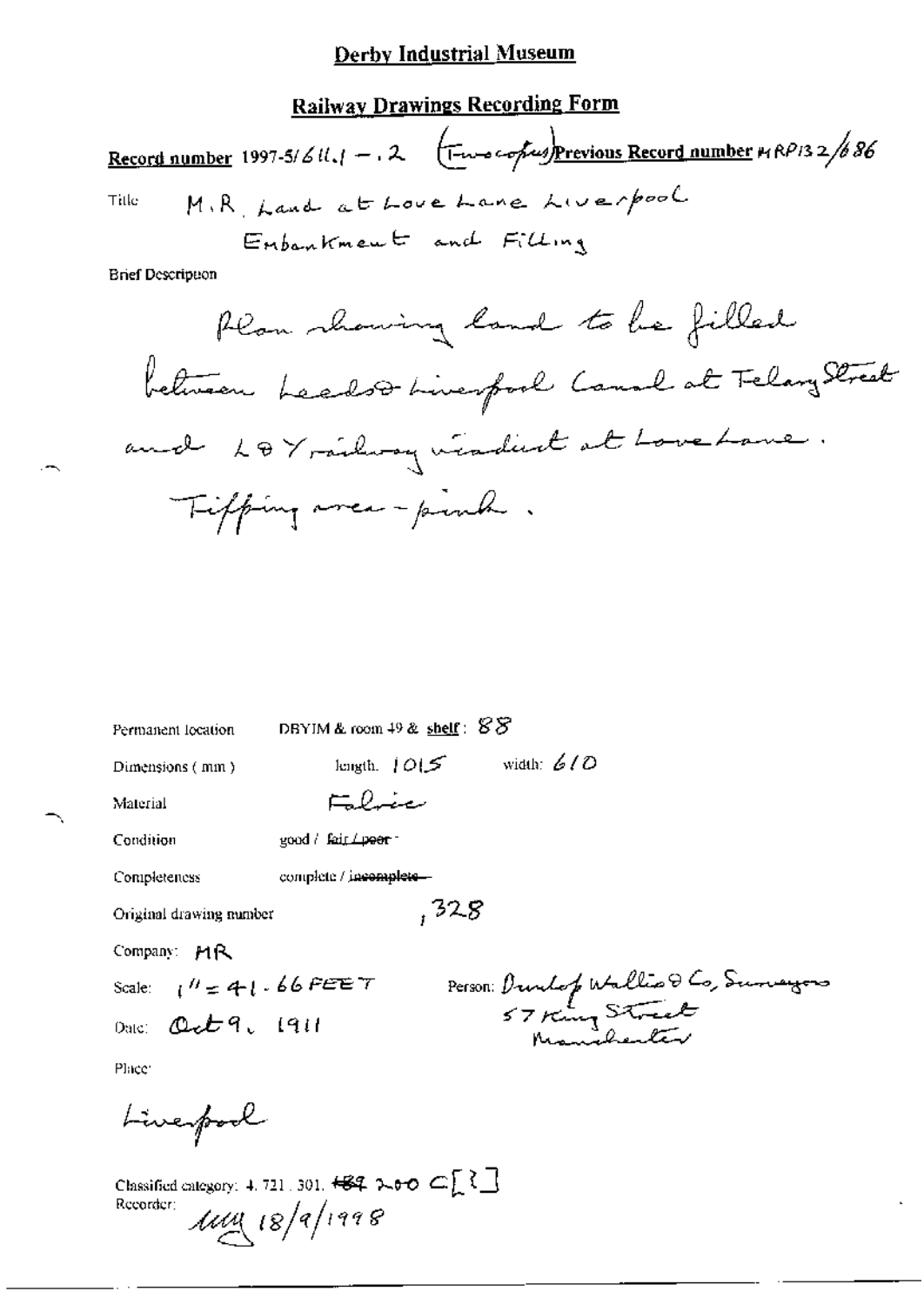# **Railway Drawings Recording Form**

Record number 1997-5/6ll.  $1 - 2$  ( $\frac{1}{1 - \omega}$  cofus) Previous Record number  $nRPI32/686$ M.R. Land at Love Lane Liverpool Title Enbankment and Filling

**Brief Description** 

| Permanent location              | DBYIM & room $49$ & shelf: $88$                                                                                                                                                                                                                                                                                                                          |
|---------------------------------|----------------------------------------------------------------------------------------------------------------------------------------------------------------------------------------------------------------------------------------------------------------------------------------------------------------------------------------------------------|
| Dimensions (mm)                 | length, $ O \mathcal{F} $ width: $6/0$                                                                                                                                                                                                                                                                                                                   |
| Material                        | Falvie                                                                                                                                                                                                                                                                                                                                                   |
| Condition                       | $good / fair \rightarrow$                                                                                                                                                                                                                                                                                                                                |
| Completeness                    | complete / incomplete-                                                                                                                                                                                                                                                                                                                                   |
| Original drawing number         | , 328                                                                                                                                                                                                                                                                                                                                                    |
| Company: MR                     |                                                                                                                                                                                                                                                                                                                                                          |
| Scale: $1^H = 41.66$ FEE T      |                                                                                                                                                                                                                                                                                                                                                          |
| Date: $\mathcal{Q}_c$ t q. 1911 | Person: Dunlop Wallis & Co, Sunayors<br>57 King Stock                                                                                                                                                                                                                                                                                                    |
| Place:                          |                                                                                                                                                                                                                                                                                                                                                          |
| Liverpool                       |                                                                                                                                                                                                                                                                                                                                                          |
| Recorder:                       | Classified category: 4, 721, 301, $\overline{6}$ + $\overline{6}$ + $\overline{6}$ + $\overline{6}$ + $\overline{6}$ + $\overline{6}$ + $\overline{6}$ + $\overline{6}$ + $\overline{6}$ + $\overline{6}$ + $\overline{6}$ + $\overline{6}$ + $\overline{6}$ + $\overline{6}$ + $\overline{6}$ + $\overline{6}$ + $\overline{6}$ +<br>$1449 (8)$ 18/1998 |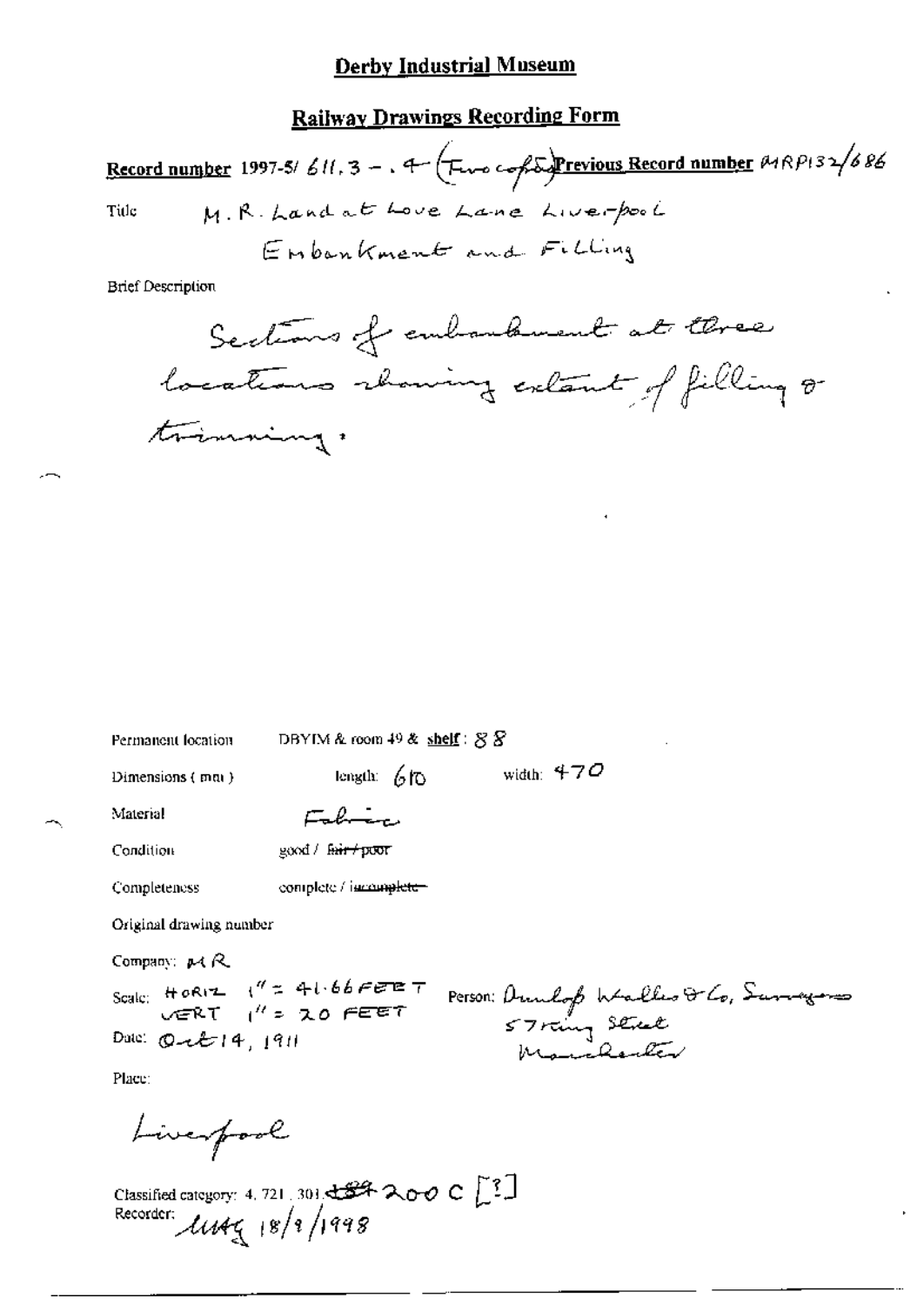## **Railway Drawings Recording Form**

Record number 1997-5/611.3 -. 4  $\sqrt{F_{\text{true}}}$  copies Previous Record number  $\theta$ 18P132/686 M.R. Land at Love Lane Live-pool Title Enbankment and Filling

**Brief Description** 

| Permanent location               | DB YEAR ALLOOND 49 & SDRUG $\setminus$ 8 $\setminus$ |                                                                       |  |
|----------------------------------|------------------------------------------------------|-----------------------------------------------------------------------|--|
| Dimensions (mm)                  | length: $60$                                         | width: $470$                                                          |  |
| Material                         | Fabric                                               |                                                                       |  |
| <b>Condition</b>                 | good / fair / poor                                   |                                                                       |  |
| Completeness                     | complete / iscomplete-                               |                                                                       |  |
| Original drawing number          |                                                      |                                                                       |  |
| Company: $\mu$ ( $\mathcal{R}$ ) |                                                      |                                                                       |  |
|                                  | Scale: HORIZ $1'' = 41.66$ FEET                      |                                                                       |  |
| Date: $Q - 214,1911$             |                                                      | Person: Dumbop Walkes & Co, Surveyors<br>57 rung Street<br>Monchenter |  |
| Place:                           |                                                      |                                                                       |  |
| Liverpool                        |                                                      |                                                                       |  |
|                                  |                                                      |                                                                       |  |

 $\sim$  48.40  $\sim$  41.40  $\sim$  62.62

Classified category: 4, 721, 301,  $\frac{129}{2}$  200 C  $\begin{bmatrix} 3 \\ 1 \end{bmatrix}$ <br>Recorder:  $\frac{11}{2}$  (8/1/1998)